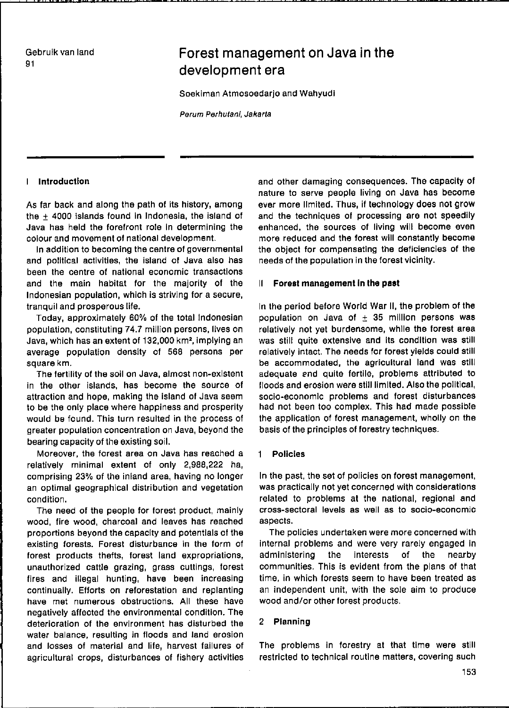Gebruik van land 91

# Forest management on Java in the development era

Soeklman Atmosoedarjo and Wahyudl

Perum Perhutani, Jakarta

### I IntroductIon

As far back and along the path of lts history, among the  $\pm$  4000 islands found in Indonesia, the island of Java has held the forefront role In determining the aolour and movement of national development.

In addition to becoming the centre of governmental and political activities, the island of Java also has been the centre of national economic transactions and the main habitat for the majority of the Indonesian population, whlch is strlvlng for a secure, tranquil and prosperous life.

Today, approximately 60% of the total Indonesian population, constituting 74.7 million persons, lives on Java, which has an extent of 132,000 km', implying an average population density of 568 persons per square km.

The fertility of the soil on Java, almost non-existent in the other islands, has become the source of attraction and hope, maklng the island of Java seem to be the only place where happiness and prosperity would be found. This turn resulted in the process of greater population concentration on Java, beyond the bearing capacity of the existing soil.

Moreover, the forest area on Java has reached a relatively minimal extent of only 2,988,222 ha, comprising 23% of the inland area, having no longer an optimal geographical distribution and vegetation condition.

The need of the people for forest product, mainly wood, fire wood, charcoal and leaves has reached proportions beyond the capaclty and potentlals of the exlsting forests. Forest disturbance in the form of forest produets thefts, forest land expropriations, unauthorized cattie grazlng, grass cuttings, forest fires and illegal hunting, have been increasing continually. Efforts on reforestation and replanting have met numerous obstructions. All these have negatively affected the environmental condition. The deterioration of the environment has disturbed the water balance, resulting in floods and land erosion and losses of material and life, harvest failures of agricultural crops, disturbances of fishery activities

and other damaging consequences. The capacity of nature to serve people living on Java has become ever more limited. Thus, if technology does not grow and the technlques of processing are not speedily enhanced, the sources of living will become even more reduced and the forest will constantly become the object for compensatlng the deficiencies of the needs of the population in the forest vicinity.

#### II Forest management In the past

In the period before World War 11, the problem of the population on Java of  $\pm$  35 million persons was relatively not yet burdensome, whlle the forest area was still quite extensive and its condition was still relatively intact. The needs for forest yields could still be accommodated, the agricultural land was still adequate and quite fertile, problems attributed to floods and erosion were stililimited. Also the politicai, socio-economie problems and forest disturbances had not been too complex. This had made possible the application of forest management, wholly on the basis of the principles of forestry technlques.

#### Policies

In the past, the set of pOlicies on forest management, was practically not yet concerned with considerations related to problems at the national, regional and cross-sectoral levels as weil as to socio-economie aspects.

The policies undertaken ware more concerned with internal problems and were very rarely engaged in adminislering the interests of the nearby communities. This is evident from the plans of that time, in which forests seem to have been treated as an independent unit, with the sole aim to produce wood and/or other forest products.

#### 2 Planning

The problems in forestry at that time were still restricted to technical routine matters, covering such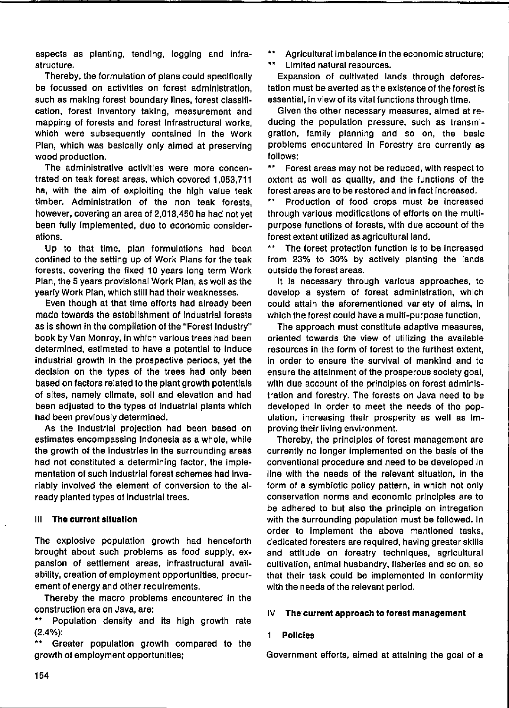aspects as planting, tending, logging and infrastructure.

Thereby, the formulation of plans could specifically be focussed on activities on forest administration. such as making forest boundary lines, forest classification, forest inventory taking, measurement and mapping of forests and forest infrastructural works. which were subsequently contained in the Work Plan, which was basically only aimed at preserving wood production.

The administrative activities were more concentrated on teak forest areas, which covered 1,053,711 ha, with the aim of exploiting the high value teak timber. Administration of the non teak forests. however, covering an area of 2,018,450 ha had not yet been fully implemented, due to economic considerations.

Up to that time, plan formulations had been confined to the setting up of Work Plans for the teak forests, covering the fixed 10 years long term Work Plan, the 5 years provisional Work Plan, as well as the yearly Work Plan, which still had their weaknesses.

Even though at that time efforts had already been made towards the establishment of industrial forests as is shown in the compilation of the "Forest Industry" book by Van Monroy, in which various trees had been determined, estimated to have a potential to induce industrial growth in the prospective periods, yet the decision on the types of the trees had only been based on factors related to the plant growth potentials of sites, namely climate, soil and elevation and had been adjusted to the types of industrial plants which had been previously determined.

As the industrial projection had been based on estimates encompassing Indonesia as a whole, while the growth of the industries in the surrounding areas had not constituted a determining factor, the implementation of such industrial forest schemes had invariably involved the element of conversion to the already planted types of industrial trees.

### III The current situation

The explosive population growth had henceforth brought about such problems as food supply, expansion of settlement areas, infrastructural availability, creation of employment opportunities, procurement of energy and other requirements.

Thereby the macro problems encountered in the construction era on Java, are:

\*\* Population density and its high growth rate  $(2.4\%)$ :

Greater population growth compared to the growth of employment opportunities;

 $\bullet\,\bullet$ Agricultural imbalance in the economic structure;

 $\pm \pm$ Limited natural resources.

Expansion of cultivated lands through deforestation must be averted as the existence of the forest is essential, in view of its vital functions through time.

Given the other necessary measures, almed at reducing the population pressure, such as transmigration, family planning and so on, the basic problems encountered in Forestry are currently as follows:

 $\star$ Forest areas may not be reduced, with respect to extent as well as quality, and the functions of the forest areas are to be restored and in fact increased.

Production of food crops must be increased through various modifications of efforts on the multipurpose functions of forests, with due account of the forest extent utilized as agricultural land.

 $\star$   $\star$ The forest protection function is to be increased from 23% to 30% by actively planting the lands outside the forest areas.

It is necessary through various approaches, to develop a system of forest administration, which could attain the aforementioned variety of aims, in which the forest could have a multi-purpose function.

The approach must constitute adaptive measures, oriented towards the view of utilizing the available resources in the form of forest to the furthest extent. in order to ensure the survival of mankind and to ensure the attainment of the prosperous society goal, with due account of the principles on forest administration and forestry. The forests on Java need to be developed in order to meet the needs of the population, increasing their prosperity as well as improving their living environment.

Thereby, the principles of forest management are currently no longer implemented on the basis of the conventional procedure and need to be developed in line with the needs of the relevant situation, in the form of a symbiotic policy pattern, in which not only conservation norms and economic principles are to be adhered to but also the principle on intregation with the surrounding population must be followed. In order to implement the above mentioned tasks, dedicated foresters are required, having greater skills and attitude on forestry techniques, agricultural cultivation, animal husbandry, fisheries and so on, so that their task could be implemented in conformity with the needs of the relevant period.

#### 1V The current approach to forest management

#### 1. **Policies**

Government efforts, almed at attaining the goal of a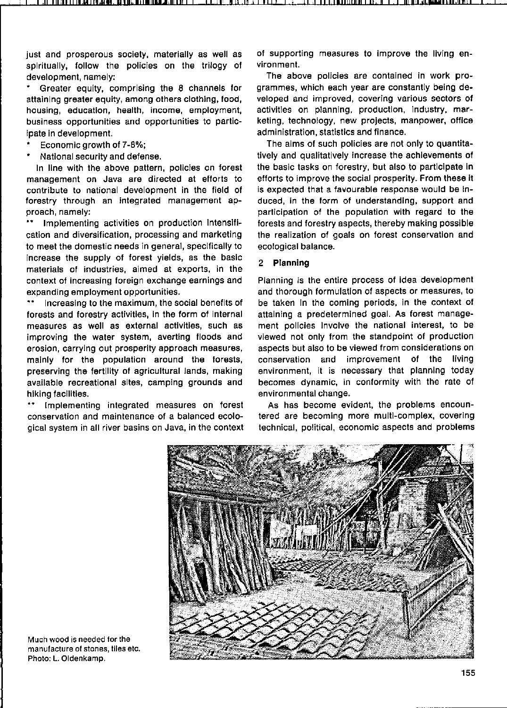just and prosperous society, materially as well as spiritually, follow the policies on the trilogy of development, namely:

Greater equity, comprising the 8 channels for attaining greater equity, among others clothing, food. housing, education, health, income, employment, business opportunities and opportunities to participate in development.

- Economic growth of 7-8%;
- National security and defense.

In line with the above pattern, policies on forest management on Java are directed at efforts to contribute to national development in the field of forestry through an integrated management approach, namely:

Implementing activities on production Intensifi- $\star\star$ cation and diversification, processing and marketing to meet the domestic needs in general, specifically to increase the supply of forest yields, as the basic materials of industries, aimed at exports, in the context of increasing foreign exchange earnings and expanding employment opportunities.

Increasing to the maximum, the social benefits of forests and forestry activities, in the form of internal measures as well as external activities, such as improving the water system, averting floods and erosion, carrying out prosperity approach measures, mainly for the population around the forests, preserving the fertility of agricultural lands, making available recreational sites, camping grounds and hiking facilities.

Implementing integrated measures on forest conservation and maintenance of a balanced ecological system in all river basins on Java, in the context of supporting measures to improve the living environment.

The above policies are contained in work programmes, which each year are constantly being developed and improved, covering various sectors of activities on planning, production, industry, marketing, technology, new projects, manpower, office administration, statistics and finance.

The aims of such policies are not only to quantitatively and qualitatively increase the achievements of the basic tasks on forestry, but also to participate in efforts to improve the social prosperity. From these it is expected that a favourable response would be induced, in the form of understanding, support and participation of the population with regard to the forests and forestry aspects, thereby making possible the realization of goals on forest conservation and ecological balance.

# 2 Planning

Planning is the entire process of idea development and thorough formulation of aspects or measures, to be taken in the coming periods, in the context of attaining a predetermined goal. As forest management policies involve the national interest, to be viewed not only from the standpoint of production aspects but also to be viewed from considerations on conservation and improvement of the living environment, it is necessary that planning today becomes dynamic, in conformity with the rate of environmental change.

As has become evident, the problems encountered are becoming more multi-complex, covering technical, political, economic aspects and problems



Much wood is needed for the manufacture of stones, tiles etc. Photo: L. Oldenkamp.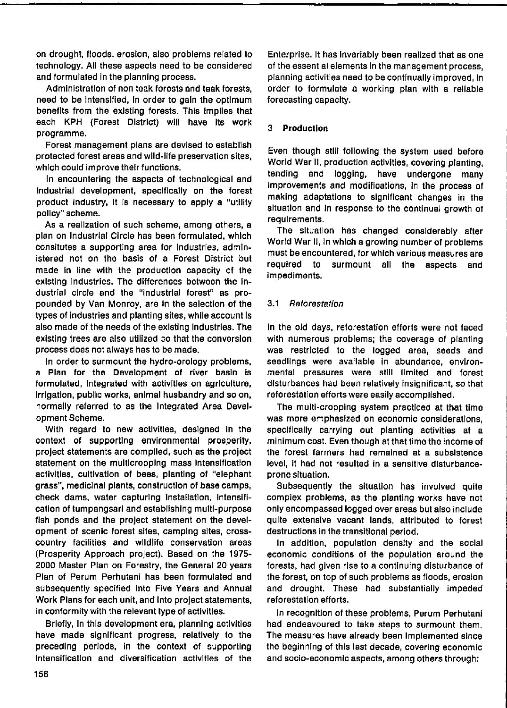on drought, Iloods, erosion, also problems related to technology, All these aspects need to be consldered and formulated in the planning process.

Administration of non teak forests and teak forests, need to be intensified, in order to gain the optimum benefits from the existing forests. This implies that each KPH (Forest District) will have its work programme.

Forest management plans are devised to establish protected forest areas and wild-life preservation sites, which could improve their functions.

In encountering the aspects of technological and industrial development, specifically on the forest product Industry, It Is necessary to apply a "utility pollcy" scheme.

As a realization of such scheme, among others, a plan on Industrial Circle has been formulated, which consitutes a supporting area for industries, administered not on the basis of a Forest District but made in line with the production capacity of the existing Industries. The differences between the industrial circle and the "industrial forest" as propounded by Van Monroy, are in the selection of the types of industries and planting sites, while account is also made of the needs of the existing Industries. The existing trees are also utilized so that the conversion process does not always has to be made.

In order to surmount the hydro-orology problems, a Plan for the Development of river basin is formulated, integrated with activities on agriculture, irrigation, public works, animal husbandry and so on, normally referred to as the Integrated Area Develop ment Scheme.

With regard to new activities, designed in the context of supporting environmental prosperity, project statements are complled, such as the project statement on the multicropping mass intensification activities, cultivation of bees, planting of "elephant grass", medicinal plants, construction of base camps, check dams, water capturlng InstalIation, Intenslflcation of tumpangsari and establishing multi-purpose fish ponds and the project statement on the development of scenic forest sites, camping sites, crosscountry facilities and wildlife conservation areas (Prosperlty Approach project). Based on the 1975- 2000 Master Plan on Forestry, the General 20 years Plan of Perum Perhutani has been formulated and subsequently specified into Five Years and Annual Work Plans for each unit, and into project statements, in conformity with the relevant type of activities.

Briefly, in this development era, planning activities have made significant progress, relatively to the preceding periods, in the context of supporting Intensification and diversification activities of the Enterprise. It has Invarlably been realized that as one of the essential elements in the management process, planning actlvitles need to be continually improved, In order to formulate a working plan with a reliable forecasting capacity.

# 3 **ProductIon**

Even though still following the system used before World War II, production activities, covering planting, tending and logging, have undergone many improvements and modifications, in the process of maklng adaptatlons to slgnlilcant changes in the situation and in response to the continual growth of requlrements.

The sltuatlon has changed conslderably after World War II, in which a growing number of problems **must ba encountered, for whlch various measures are**  required to surmount all the aspects and impediments.

# 3.1 Relorestation

In the old days, reforestation efforts were not faced with numerous problems; the coverage of planting was restrlcted to the logged area, seeds and **seedlings ware available in abundance, environ**mental pressures were still Ilmited and forest disturbances had been relatively insignificant, so that reforestation efforts were easily accomplished.

The multi-cropping system practlced at that time was more emphasized on economic considerations, speclflcally carrylng out planting activities at a minimum cost. Even though at that time the income of the forest farmers had remained at a subsistence level, it had not resulted in a sensitive disturbanceprone sItuation.

Subsequently the situation has involved quite complex problems, as the planting works have not only encompassed logged over areas but also include quite extensive vacant lands, attributed to forest destructions in the transitional period.

In addition, population density and the social economic conditions of the population around the forests, had given rise to a continuing disturbance of the forest, on top of such problems as floods, erosion and drought. These had substantially impeded reforestation efforts.

In recognition of these problems, Perum Perhutani had endeavoured to take steps to surmount them. The measures have already been implemented since the beginning of this last decade, covering economic and socio-economie aspects, among others through: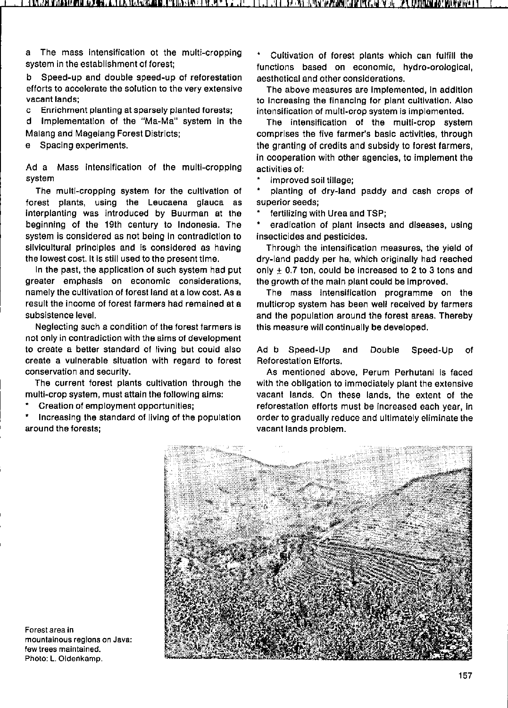a The mass intensification ot the multi-cropping system in the establishment of forest;

b Speed-up and double speed-up of reforestation **efforts to accelerate the solution to the very extensive vacant lands;** 

**c Enrichment planting at sparsely planted forests;** 

d Implementation of the "Ma-Ma" system in the Malang and Magelang Forest Districts;

e Spacing experiments.

Ad a Mass intensification of the multi-cropping activities of: **system** 

The multl-cropping system for the eultivation of forest plants, using the Leucaena glauca as interplanting was introduced by Buurman at the beginning of the 19th century to Indonesia. The system is considered as not being in contradiction to silvicultural principles and is considered as having the lowest cost. It is still used to the present time.

In the past, the application of such system had put **greater emphasls on economie considerations,**  namely the cultivation of forest land at a low cost. As a result the income of forest farmers had remained at a subsistence level.

Neglecting such a condition of the forest farmers is not only in contradiction with the aims of development to create a better standard of living but could also create a vulnerable situation with regard to forest **conservation and security.** 

The current forest plants cultivation through the multi-crop system, must attain the following aims:

Creation of employment opportunities;

Increaslng the standard of living of the populatlon around the forests;

Cultivation of forest plants which can fulfill the functions based on economic, hydro-orological, aesthetical and other conslderations.

The above measures are Implemented, In addltlon to increasing the financing for plant cultivation. Also **intensification of multl-crop system is implemented.** 

The intensifieation of the multi-erop system comprises the five farmer's basic activitles, through the granting of credits and subsidy to forest farmers, in cooperation with other agencies, to implement the

**improved soil tillage;** 

planting of dry-land paddy and cash erops of **superior seeds;** 

fertilizing with Urea and TSP;

eradication of plant insects and diseases, using insecticides and pesticides.

Through the intensifieatlon measures, the yield of dry-land paddy per ha, which originally had reached only  $\pm$  0.7 ton, could be increased to 2 to 3 tons and the growth of the maln plant eould be Improved.

The mass intensification programme on the multicrop system has been weil received by farmers and the population around the forest areas. Thereby this measure will continually be developed.

Ad b Speed-Up and Double Speed-Up of **Reforestation Efforts.** 

As mentioned above, Perum Perhutani is faced with the obligation to immediately plant the extensive vacant lands. On these lands, the extent of the reforestation eflorts must be increased each year, In order to gradually reduce and ultimately eliminate the vacant lands problem.



**Forest area in mountainous regions on Java: few trees maintained. Photo: L. Oldenkamp.**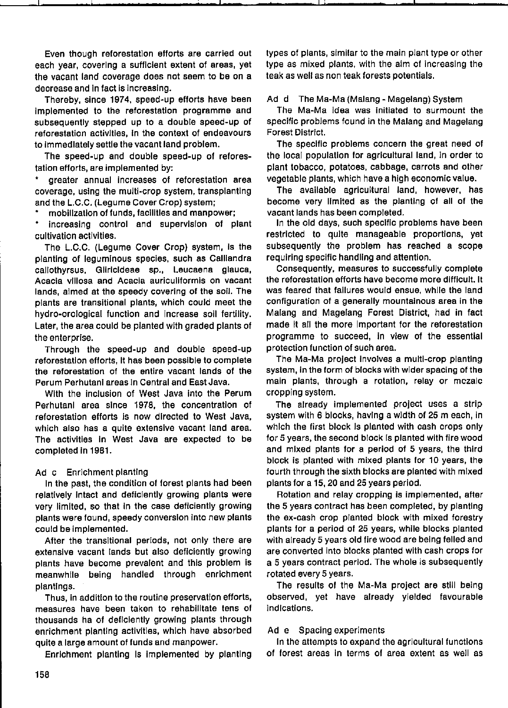Even though reforestatlon efforts are carrled out each year, coverlng a sufflcient extent of areas, yet the vacant land coverage does not seem to be on a decrease and In fact is increasing.

Thereby, slnce 1974, speed-up efforts have been Implemented to the reforestation programme and subsequently stepped up to a double speed-up of reforestation activItIes, In the context of endeavours to Immedlately settle the vacant land problem.

The speed-up and double speed-up of reforestation efforts, are implemented by:

• greater annual increases of reforestation area coverage, uslng the multi-crop system, transplanting and the L.C.C. (Legume Cover Crop) system;

• mobillzatlon of funds, facIlIties and manpower;

• increasing control and supervision of plant cultivation activlties.

The L.C.C. (Legume Cover Crop) system, Is the planting of leguminous species, such as Calliandra callothyrsus. Glirlcldeae sp., Leucaena glauca, **Acacia vlllosa end Acacia auriculiformls on vacant**  lands, almed at the speedy covering of the soil. The plants are transltional plants, whlch could meet the hydro-orological function and Increase soli fertility. Later, the area could be planted wlth graded plants of the enterprise.

Through the speed-up and double speed-up reforestation efforts, it has been possible to complete the reforestation of the entire vacant lands of the Perum Perhutani areas In Central and East Java.

Wlth the inclusion of West Java Into the Perum Perhutani area since 1978, the concentration of reforestation efforts Is now dlrected to West Java, whlch also has a qulte extenslve vacant land area. The actlvities In West Java are expected to be completed In 1981.

### Ad c Enrlchment planting

In the past, the condition of forest plants had been relatively intact and deficiently growing plants were very limited, so that in the case deficiently growing plants were found, speedy conversion into new plants could be Implemented.

After the transitional periods, not only there are extensive vacant lands but also deficiently growing plants have become prevalent and this problem is meanwhlle being handled through enrichment plantings.

Thus, In addltlon to the routine preservation efforts, measures have been taken to rehabilltate tens of thousands ha of deflclently growlng plants through enrichment planting activities, which have absorbed quite a large amount of funds and manpower.

Enrlchment planting Is implemented by planting

types of plants, similar to the main plant type or other type as mixed plants, wlth the aim of increaslng the teak as weil as non teak forests potentiais.

#### Ad d The Ma-Ma (Malang - Magelang) System

! ;

The Ma-Ma Idea was Initlated to surmount the specific problems found in the Malang and Magelang Forest District.

The speclfic problems concern the great need of the local population for agricultural land, in order to plant tobacco, potatoes, cabbage, carrots and other vegetable plants, which have a high economic value.

The available agricultural land, however, has become very limited as the planting of all of the vacant lands has been completed.

In the old days, such specific problems have been restricted to qulte manageable proportions, yet subsequently the problem has reached a scope requiring specific handllng and attention.

Consequently, measures to successfully complete the reforestation efforts have become more difficult. It was feared that failures would ensue, while the land configuration of a generally mountainous area in the Malang and Magelang Forest District, had in fact made It all the more Important for the reforestation programme to succeed, In view of the essential protection function of such area.

The Ma-Ma project Involves a multl-crop planting system, In the form of blocks with wlder spacing of the main plants, through a rotation, relay or mczalc cropping system.

The already implemented project uses a strip system with 6 blocks, havlng a wldth of 25 m each, in which the first block is planted with cash crops only for 5 years, the second block Is planted wlth fire wood and mixed plants for a period of 5 years, the third block is planted with mixed plants for 10 years, the fourth through the sixth blocks are planted with mixed plants for a 15, 20 and 25 years perlod.

Rotation and relay cropping is implemented, after the 5 years contract has been completed, by planting the ex-cash crop planted block wlth mixed forestry plants for a perlod of 25 years, whlle blocks planted with already 5 years old fire wood are being felled and are converted into blocks planted with cash crops for a 5 years contract perlod. The whole is subsequently rotated every 5 years.

The results of the Ma-Ma project are still being observed, yet have already yielded favourable indlcations.

### Ad e Spacing experiments

In the attempts to expand the agricultural functions of forest areas In terms of area extent as weil as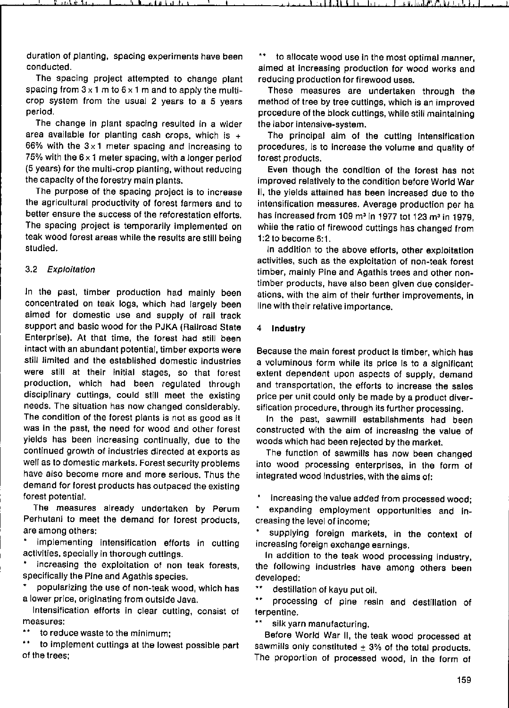duration of planting, spacing experiments have been conducted.

The spacing project attempted to change plant spacing from  $3 \times 1$  m to  $6 \times 1$  m and to apply the multicrop system from the usual 2 years to a 5 years periad.

The change in plant spacing resulted in a wider area available for planting cash crops, which is  $+$ 66% with the  $3 \times 1$  meter spacing and increasing to 75% with the  $6 \times 1$  meter spacing, with a longer period (5 years) for the multi-crop planting, without reducing the capacity of the forestry maln plants.

The purpose of the spacing project is to increase the agricultural productivity of forest farmers and to better ensure the success of the reforestation efforts. The spacing project is temporarily implemented on teak wood forest areas while the results are still being studied.

#### 3.2 Exploitation

In the past, timber production had mainly been concentrated on teak logs, which had largely been aimed for domestic use and supply of rail track support and basic wood for the PJKA (Railroad State Enterprise). At that time, the forest had still been intact with an abundant potential, timber exports were still limited and the established domestic industries were still at their initial stages, so that forest production, which had been regulated through disciplinary cuttings, could still meet the existing needs. The sltuation has now changed considerably. The condition of the forest plants is not as good as it was In the past, the need for wood and other forest yields has been increasing continually, due to the continued growth of industries directed at exports as weil as to domestic markets. Forest security problems have also become more and more serious. Thus the demand for forest produets has outpaced the existing forest potentia!.

The measures already undertaken by Perum Perhutani to meet the demand for forest products, are among others:

implementing intensification efforts in cutting activities, specially in thorough cuttings.

**increasing the exploitation of non teak forests,**  specifically the Pine and Agathis species.

popularizing the use of non-teak wood, whlch has a lower price, originating from outside Java.

Intensification efforts in clear culting, consist of **measures:** 

**to reduce waste to the minimum;** 

to implement cuttings at the lowest possible part of the trees;

to allocate wood use in the most optimal manner. **aimed at increasing production for wood works and**  reducing production for firewood uses.

These measures are undertaken through the methad of tree by tree cuttlngs, which is an improved procedure of the block cuttings, whlle still maintalning the labor intensive-system.

The principal aim of the cutting intensification procedures, is to Increase the volume and quality of forest products.

Even though the condition of the forest has not improved relatively to the condition befare World War II, the yields attained has been increased due to the intensification measures. Average production per ha has increased from 109 m<sup>3</sup> in 1977 tot 123 m<sup>3</sup> in 1979, while the ratio of firewood cuttings has changed from 1:2 to become 6:1.

In addition to the above efforts, other exploitation activities, such as the exploitation of non-teak forest timber, mainly Pine and Agathis trees and other non**timber products, have also been given due considerations, with the aim of their further improvements, In**  line with their relative importance.

#### 4 Industry

Because the main forest product Is timber, which has a voluminous form while its price is to a significant extent dependent upon aspects of supply, demand and transportation, the efforts to increase the sales price per unit could only be made by a product diversification procedure, through lts further processing.

In the past, sawmill establishments had been constructed wlth the aim of increaslng the value of woods which had been rejected by the market.

The function of sawmills has now been changed into wood processing enterprises, in the farm of integrated wood industries, with the aims of:

increasing the value added from processed wood;

expanding employment opportunities and increasing the level of income;

supplying foreign markets, in the context of **increaslng foreign exchange earnings.** 

In addition to the teak wood processing Industry, the following industries have among others been developed:

\*\* destillation of kayu put oil.

 $\ddot{\phantom{1}}$ processing of pine resin and destillation of terpentine.

**silk yarn manufacturing.** 

Befare World War 11, the teak wood processed at sawmills only constituted  $\pm$  3% of the total products. The proportion of processed wood, in the form of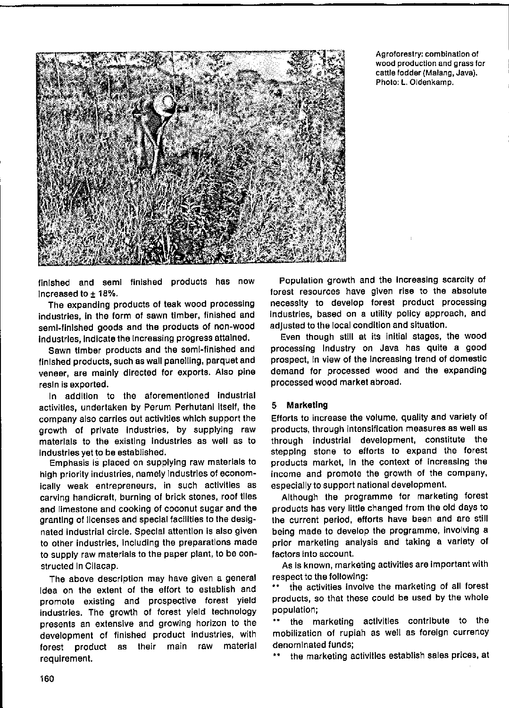

Agroforestry: combination of wood production and grass for cattle fodder (Malang, Java). Photo: L. Oldenkamp.

finished and semi finished products has now Increased to  $\pm$  18%.

The expanding products of teak wood processing industries, in the form of sawn timber, finished and semi-finished goods and the products of non-wood industries, indicate the increasing progress attained.

Sawn timber products and the semi-finished and finished products, such as wall panelling, parquet and veneer, are mainly directed for exports. Also pine resin is exported.

In addition to the aforementioned industrial activities, undertaken by Perum Perhutani itself, the company also carries out activities which support the growth of private industries, by supplying raw materials to the existing industries as well as to industries vet to be established.

Emphasis is placed on supplying raw materials to high priority industries, namely Industries of economically weak entrepreneurs, in such activities as carving handicraft, burning of brick stones, roof tiles and limestone and cooking of coconut sugar and the granting of licenses and special facilities to the designated industrial circle. Special attention is also given to other industries, including the preparations made to supply raw materials to the paper plant, to be constructed In Cilacap.

The above description may have given a general Idea on the extent of the effort to establish and promote existing and prospective forest yield industries. The growth of forest yield technology presents an extensive and growing horizon to the development of finished product industries, with material forest product as their main raw requirement.

Population growth and the increasing scarcity of forest resources have given rise to the absolute necessity to develop forest product processing industries, based on a utility policy approach, and adjusted to the local condition and situation.

Even though still at its initial stages, the wood processing industry on Java has quite a good prospect, in view of the increasing trend of domestic demand for processed wood and the expanding processed wood market abroad.

### 5 Marketing

Efforts to increase the volume, quality and variety of products, through intensification measures as well as through industrial development, constitute the stepping stone to efforts to expand the forest products market, in the context of increasing the income and promote the growth of the company, especially to support national development.

Although the programme for marketing forest products has very little changed from the old days to the current period, efforts have been and are still being made to develop the programme, involving a prior marketing analysis and taking a variety of factors into account.

As is known, marketing activities are important with respect to the following:

the activities involve the marketing of all forest products, so that these could be used by the whole population;

the marketing activities contribute to the mobilization of rupiah as well as foreign currency denominated funds;

the marketing activities establish sales prices, at  $\pm$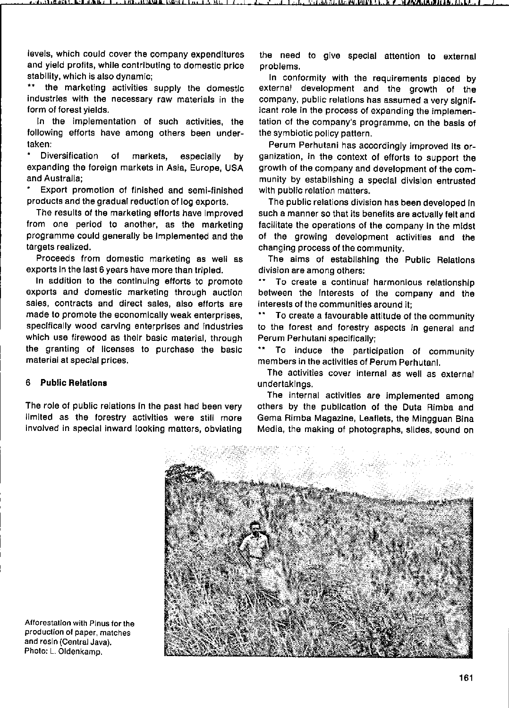levels, which could cover the company expendltures and yield profits, while contributing to domestic price stability, which is also dynamic;<br>\*\* the markoting activities

the marketing activities supply the domestic **industries with the necessary raw materials in the**  form of forest vields.

In the implementation of such activities, the following efforts have among others been undertaken:

Diversification of markets, especially by expanding the foreign markets in Asla, Europe, USA and Australla;

Export promotion of finished and semi-finished products and the gradual reduction of log exports.

The results of the marketing efforts have improved from one perlod to another, as the marketing programme could generally be implemented and the targets realized.

Proceeds from domestic marketing as weil as exports In the last 6 years have more than tripled.

In addition to the contlnulng eflorts to promote exports and domestic marketing through auction sales, contracts and direct sales, also efforts are made to promote the economlcally weak enterprises, speclfically wood carving enterprises and Industries which use firewood as their basic material, through the granting of licenses to purchase the basic **material at special prices.** 

## 6 **PubIIc RelatIons**

The role of public relations in the past had been very limited as the forestry activlties were still more involved in special inward looking matters, obviating

the need to glve special attention to external problems.

In conformity with the requirements placed by external development and the growth of the company, public relations has assumed a very significant role in the process of expanding the implementation of the company's programme, on the basis of the symbiotic policy pattern.

Perum Perhutani has accordingly improved lts organizatlon, in the context of efforts to support the growth of the company and development of the community by establishing a special division entrusted with public relation matters.

The public relations division has been developed in such a manner so that its benefits are actually felt and facilitate the operations of the company in the mldst of the growing development activities and the changing process of the community.

The aims of establishing the Public Relations **dlvision are among others:** 

**To creste a continual harmonious relationship**  between the interests of the company and the interests of the communities around it:

To create a favourable attitude of the community to the forest and forestry aspects in general and Perum Perhutani speciflcally;

**\*\* Ta induce the participation of community**  members in the activities of Perum PerhutanI.

The activities cover internal as well as external undertaklngs.

The internal activitles are implemented among others by the publication of the Duta Rimba and Gema Rimba Magazine, Leaflets, the Mingguan Blna Media, the making of photographs, slides, sound on



**Afforestatlon with Pinus for Ihe production of paper, matches and resln (Central Java).**  Photo: L. Oldenkamp.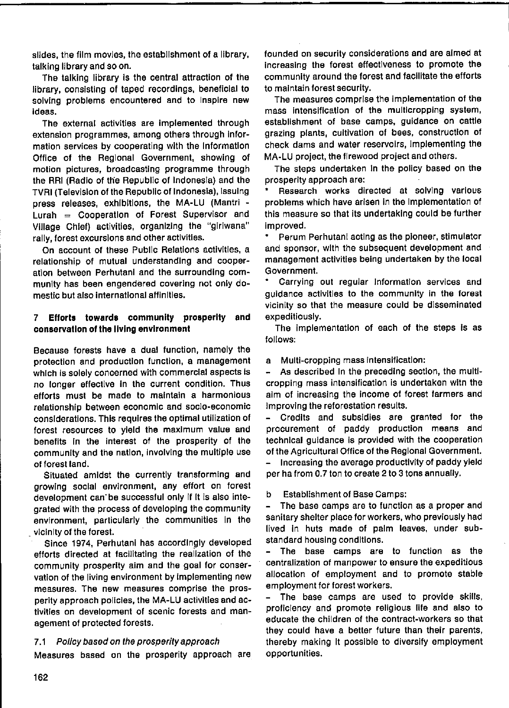slides, the film movies, the establishment of a library, talking library and so on.

The talking library is the central attraction of the library, consisting of taped recordings, beneficial to solving problems encountered and to Inspire new ideas.

The external activities are implemented through extension programmes, among others through information services by cooperating with the Information Office of the Regional Government, showing of motion pictures, broadcasting programme through the RRI (Radio of the Republic of Indonesia) and the TVRI (Television of the Republic of Indonesia), Issuing press releases, exhibitions, the MA-LU (Mantri -Lurah  $=$  Cooperation of Forest Supervisor and Village Chief) activities, organizing the "giriwana" rally, forest excursions and other activities.

On account of these Public Relations activities, a relationship of mutual understanding and cooperation between Perhutani and the surrounding community has been engendered covering not only domestic but also international affinities.

# 7 Efforts towards community prosperity and conservation of the living environment

Because forests have a dual function, namely the protection and production function, a management which is solely concerned with commercial aspects is no longer effective in the current condition. Thus efforts must be made to maintain a harmonious relationship between economic and soclo-economic considerations. This requires the optimal utilization of forest resources to yield the maximum value and benefits in the interest of the prosperity of the community and the nation, involving the multiple use of forest land.

Situated amidst the currently transforming and growing social environment, any effort on forest development can be successful only if it is also integrated with the process of developing the community environment, particularly the communities in the vicinity of the forest.

Since 1974, Perhutani has accordingly developed efforts directed at facilitating the realization of the community prosperity aim and the goal for conservation of the living environment by implementing new measures. The new measures comprise the prosperity approach policies, the MA-LU activities and activities on development of scenic forests and management of protected forests.

### 7.1 Policy based on the prosperity approach

Measures based on the prosperity approach are

founded on security considerations and are aimed at increasing the forest effectiveness to promote the community around the forest and facilitate the efforts to maintain forest security.

The measures comprise the implementation of the mass intensification of the multicropping system, establishment of base camps, guidance on cattle grazing plants, cultivation of bees, construction of check dams and water reservoirs, implementing the MA-LU project, the firewood project and others.

The steps undertaken in the policy based on the prosperity approach are:

Research works directed at solving various problems which have arisen in the implementation of this measure so that its undertaking could be further improved.

Perum Perhutani acting as the pioneer, stimulator and sponsor, with the subsequent development and management activities being undertaken by the local Government.

Carrying out regular information services and quidance activities to the community in the forest vicinity so that the measure could be disseminated expeditiously.

The implementation of each of the steps is as follows:

a Multi-cropping mass intensification:

As described in the preceding section, the multicropping mass intensification is undertaken with the aim of increasing the income of forest farmers and Improving the reforestation results.

Credits and subsidies are granted for the  $\blacksquare$ procurement of paddy production means and technical guidance is provided with the cooperation of the Agricultural Office of the Regional Government.

Increasing the average productivity of paddy yield per ha from 0.7 ton to create 2 to 3 tons annually.

p **Establishment of Base Camps:** 

 $\overline{\phantom{0}}$ The base camps are to function as a proper and sanitary shelter place for workers, who previously had lived in huts made of palm leaves, under substandard housing conditions.

 $\blacksquare$ The base camps are to function as the centralization of manpower to ensure the expeditious allocation of employment and to promote stable employment for forest workers.

The base camps are used to provide skills,  $\blacksquare$ proficiency and promote religious life and also to educate the children of the contract-workers so that they could have a better future than their parents, thereby making It possible to diversify employment opportunities.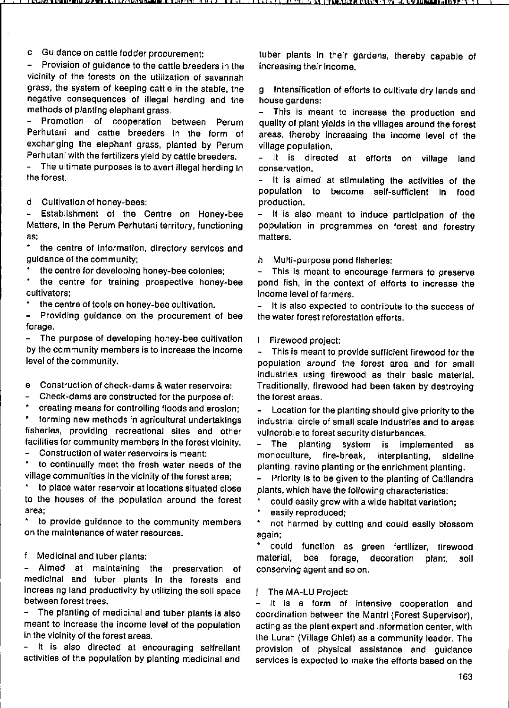c Guidance on cattIe fodder procurement:

Provision of guldance to the cattle breeders in the vicinity of the forests on the utilization of savannah grass, the system of keeping cattle in the stable, the negative consequences of iIIegal herding and Ihe methods of planting elephant grass.

Promotion of cooperation between Perum Perhutani and cattle breeders in the form of exchanging the elephant grass, planted by Perum Perhutani with the fertilizers yield by cattle breeders.<br>- The ultimate purposes is to avert illegal berding in

The ultimate purposes is to avert illegal herding in the forest.

d Cultivation of honey-bees:<br>- Establishment of the C

Establishment of the Centre on Honey-bee Matters, in the Perum Perhutani territory, functioning **as:** 

**the centra of information, directory services end**  guidance of the community;

the centre for developing honey-bee colonies;

the centre for training prospective honey-bee cultivators;

the centre of tools on honey-bee cultivation.

Providing guidance on the procurement of bee forage.

The purpose of developing honey-bee cultivation by the community members Is to increase the Income level of the community.

**e Construction of check-dams & water reservoirs:** 

- Check-dams are constructed for the purpose of:

creating means for controlling floods and erosion;

 $\hat{\mathbf{r}}$ forming new methods in agricultural undertakings **fisheries, providing recreationaJ sites end ether**  facilities for community membors in the forest vicinity.

**Constructien of water reservoirs is meant:** 

to continually meet the fresh water needs of the village communitles In the vicinity of the forest area;

• to place water reservoir at locations situated close to the houses of the population around the forest **area;** 

to provide guidance to the community members **on the maintenance of water resources.** 

f. Medicinal and tuber plants:

- Aimed at maintaining the preservation of medicinal and tuber plants in the forests and increasing land productivity by utilizing the soli space **between forest trees.** 

- The planting of medicinal and tuber plants is also meant to increase the income level of the population in the vicinity of the forest areas.

It is also directed at encouraging selfrellant  $\sim$ activitles of the population by planting medicinal and tuber plants in thelr gardens, thereby capable of increasing thelr income.

9 Intensificatlon of efforts 10 cultivate dry lands and **house gardens:** 

This is meant to increase the production and quality of plant ylelds In the villages around the forest areas, thereby Increasing the income level of the village population.

- It is directed at efforts on village land **conservation.** 

It is almed at stimulating the activities of the population to become self-sufficlent in food production.

It is also meant to induce participation of the  $\sim$ population in program mes on forest and forestry matters.

h Multi-purpose pond flsheries:

 $\sim$ This is meant to encourage farmers to preserve pond fish, in the context of efforts to increase the **income** level of **farmers.** 

It is also expected to contribute to the success of the water forest reforestatlon efforts.

I. Firewood project:

This is meant to provide sufficient firewood for the population around the forest area and for small industries using firewood as thelr basic materlal. Traditionally, tirewood had been taken by destroylng the forest areas.

Location for the planting should give priority to the industrial circle of small *scate* Industries and to areas vulnerable to forest security disturbances.

The planting system is Implemented as monoculture, fire-break, interplanting, sideline planting, ravine planting or the enrichment planting.

Priority Is to be given to the planting of Calliandra plants, which have the following characteristlcs:

could easily grow with a wide habitat variation;

**easily reproduced;** 

۰ not harmed by cuttlng and could easlly blossom **again;** 

could function as green fertilizer, firewood material, bee forage, decoration plant, soil **conserving agent and sa on.** 

j The MA-LU Project:

**lt is a farm of intensive cooperatlon end**  coordination between the Mantri (Forest Supervisor), acting as the plant expert and information center, wlth the Lurah (Village Chief) as a community leader. The provision of physical asslstance and guidance services is expected to make the efforts based on the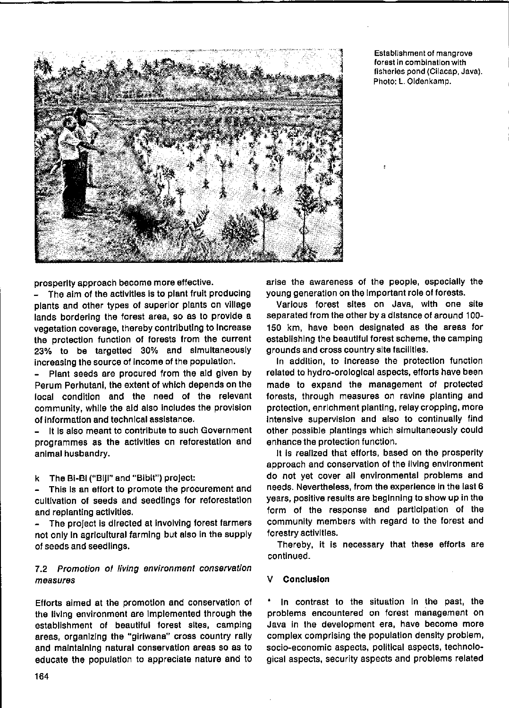

**Establishment of mangrove forast in combination with fisherles pond (Cilacap, Java).**  Photo: L. Oldenkamp.

prosperity approach become more effective.

- The aim of the activities is to plant fruit producing plants and other types of superior plants on village lands borderlng the forest area, so as to provide a vegetatlon coverage, thereby contrlbutlng to Increase the protection function of forests from the current 23% to be targetted 30% and slmultaneously Increaslng the souree of Income of the populatIon.

- Plant seeds are procured from the aid glven by Perum Perhutani, the extent of whlch depends on the local condition and the need of the relevant community, while the aid also includes the provision of Informatlon and technlcal asslstance.

It is also meant to contribute to such Government programmes as the activities on reforestation and animal husbandry.

k The Bi-BI ("Biji" and "Bibit") project:

This is an effort to promote the procurement and cultlvatlon of seeds and seedlings for reforestation and replantlng actlvlties.

The project is directed at involving forest farmers not only in agricultural farming but also in the supply of seeds and seedlings.

# 7.2 Promotion of living environment conservation *measures*

Efforts almed at the promotion and conservation of the living environment are Implemented through the establishment of beautiful forest sites, camping areas, organlzlng the "glrlwana" cross country rally and maintaining natural conservation areas so as to educate the population to appreciate nature and to arise the awareness of the people, especially the young generation on the important role of forests.

Various forest sites on Java, with one site separated from the other by a distance of around 100-150 km, have been designaled as the areas for establishing the beautiful forest scheme, the camping grounds and cross country site facilltles.

In addItion, to Increase the protection function related to hydro-orologlcal aspects, eftorts have been made to expand the management of protected forests, through measures on ravlne planting and protection, enrichment planting, relay cropping, more Intensive supervision and also to continually find other posslble plantlngs whlch slmultaneously could enhance the protection function.

It is realized that efforts, based on the prosperity approach and conservatlon of the living environment do not yet cover all envlronmental problems and needs. Nevertheless, from the experience in the last 6 years, positive results are beginning to show up in the form of the response and partlclpatlon of the communlty members wlth regard to the forest and forestryactlvltles.

Thereby, it is necessary that these efforts are continued.

# Conclusion

In contrast to the situation In the past, the problems encountered on forest management on Java In the development era, have become more complex comprising the population density problem, socio-economie aspects, political aspects, technological aspects, security aspects and problems related